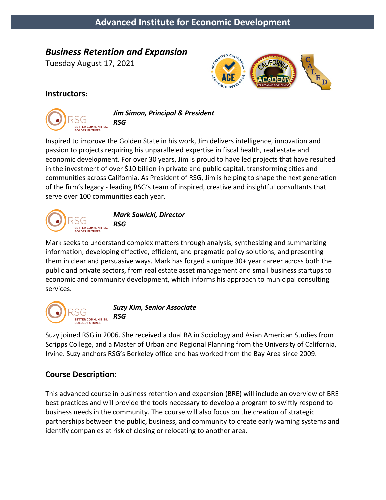# *Business Retention and Expansion*

Tuesday August 17, 2021



## **Instructors:**



*Jim Simon, Principal & President RSG*

Inspired to improve the Golden State in his work, Jim delivers intelligence, innovation and passion to projects requiring his unparalleled expertise in fiscal health, real estate and economic development. For over 30 years, Jim is proud to have led projects that have resulted in the investment of over \$10 billion in private and public capital, transforming cities and communities across California. As President of RSG, Jim is helping to shape the next generation of the firm's legacy - leading RSG's team of inspired, creative and insightful consultants that serve over 100 communities each year.



Mark seeks to understand complex matters through analysis, synthesizing and summarizing information, developing effective, efficient, and pragmatic policy solutions, and presenting them in clear and persuasive ways. Mark has forged a unique 30+ year career across both the public and private sectors, from real estate asset management and small business startups to economic and community development, which informs his approach to municipal consulting services.



*Suzy Kim, Senior Associate*

Suzy joined RSG in 2006. She received a dual BA in Sociology and Asian American Studies from Scripps College, and a Master of Urban and Regional Planning from the University of California, Irvine. Suzy anchors RSG's Berkeley office and has worked from the Bay Area since 2009.

# **Course Description:**

This advanced course in business retention and expansion (BRE) will include an overview of BRE best practices and will provide the tools necessary to develop a program to swiftly respond to business needs in the community. The course will also focus on the creation of strategic partnerships between the public, business, and community to create early warning systems and identify companies at risk of closing or relocating to another area.